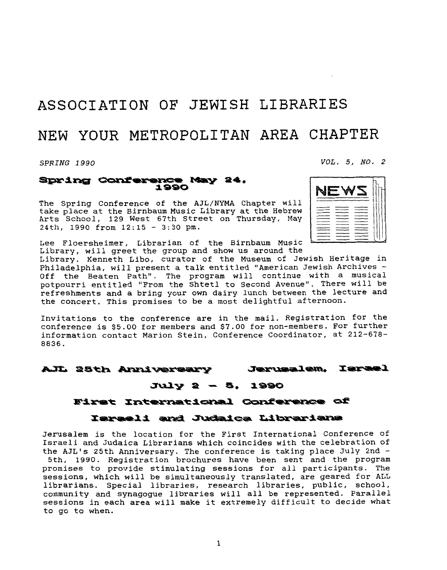# **ASSOCIATION OF JEWISH LIBRARIES**

# NEW YOUR **METROPOLITAN AREA CHAPTER**

*SPRING 1990 VOL. 5, NO. 2* 

#### Spring Conference May 24, 1990

The Spring Conference of the AJL/NYMA Chapter will<br>take place at the Birnbaum Music Library at the Hebrew<br>Arts School, 129 West 67th Street on Thursday, May<br>24th, 1990 from 12:15 - 3:30 pm.<br>Lee Floersbeimer, Librarian of take place at the Birnbaum Music Library at the Hebrew Arts School, 129 West 67th Street on Thursday, May 24th, 1990 from  $12:15 - 3:30$  pm.

Lee Floersheimer, Librarian of the Birnbaum Music Library, will greet the group and show us around the

Library. Kenneth Libo, curator of the Museum of Jewish Heritage in Philadelphia, will present a talk entitled "American Jewish Archives - Off the Beaten Path". The program will continue with a musical potpourri entitled "From the Shtetl to Second Avenue". There will be refreshments and a bring your own dairy lunch between the lecture and the concert. This promises to be a most delightful afternoon.

Invitations to the conference are in the mail. Registration for the conference is \$5.00 for members and \$7.00 for non-members. For further information contact Marion Stein, Conference Coordinator, at 212-678- 8836.

#### Jerusalem, AJL 25th Anniversary

# $July 2 - 5.1990$

### First International Conference of

## Israeli and Judaica Librarians

Jerusalem is the location for the First International Conference of Israeli and Judaica Librarians which coincides with the celebration of the AJL's 25th Anniversary. The conference is taking place July 2nd -

5th, 1990. Registration brochures have been sent and the program promises to provide stimulating sessions for all participants. The sessions, which will be simultaneously translated, are geared for ALL librarians. Special libraries, research libraries, public, school, community and synagogue libraries will all be represented. Parallel sessions in each area will make it extremely difficult to decide what to go to when.

NEW



**Tarael**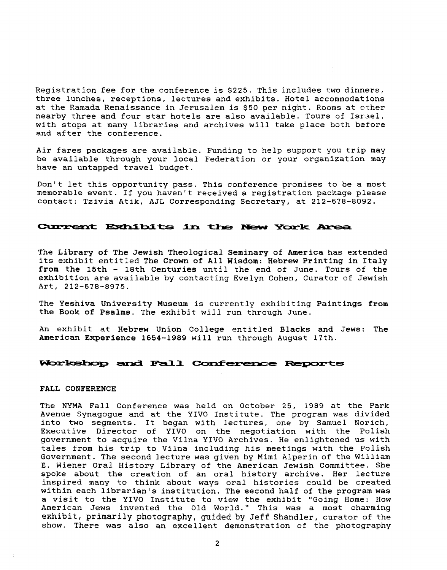Registration fee for the conference is **\$225.** This includes two dinners, three lunches, receptions, lectures and exhibits. Hotel accommodations at the Ramada Renaissance in Jerusalem is **\$50** per night. Rooms at other nearby three and four star hotels are also available. Tours of Israel, with stops at many libraries and archives will take place both before and after the conference.

Air fares packages are available. Funding to help support you trip may be available through your local Federation or your organization may have an untapped travel budget.

Don't let this opportunity pass. This conference promises to be a most memorable event. If you haven't received a registration package please contact: Tzivia Atik, AJL Corresponding Secretary, at **212-678-8092.** 

### **Current Exhibits in the New York Area**

The Library of The Jewish Theological Seminary of America has extended its exhibit entitled The **Crown** of All Wisdom: Hebrew Printing in Italy from the 15th - 18th Centuries until the end of June. Tours of the exhibition are available by contacting Evelyn Cohen, Curator of Jewish Art, **212-678-8975.** 

The Yeshiva University Museum is currently exhibiting Paintings from the Book of Psalms. The exhibit will run through June.

An exhibit at Hebrew Union College entitled Blacks and Jews: The American Experience 1654-1989 will run through August 17th.

### Workshop and Fall Conference Reports

#### FALL **CONFERENCE**

The NYMA Fall Conference was held on October **25, 1989** at the Park Avenue Synagogue and at the YIVO Institute. The program was divided into two segments. It began with lectures, one by Samuel Norich, Executive Director of YIVO on the negotiation with the Polish government to acquire the Vilna YIVO Archives. He enlightened us with tales from his trip to Vilna including his meetings with the Polish Government. The second lecture was given by Mimi Alperin of the William E. Wiener Oral History Library of the American Jewish Committee. She spoke about the creation of an oral history archive. Her lecture inspired many to think about ways oral histories could be created within each librarian's institution. The second half of the program was a visit to the YIVO Institute to view the exhibit "Going Home: How American Jews invented the Old World." This was a most charming exhibit, primarily **photography, guided by Jeff** Shandler, curator of the show. There was also an excellent demonstration of the photography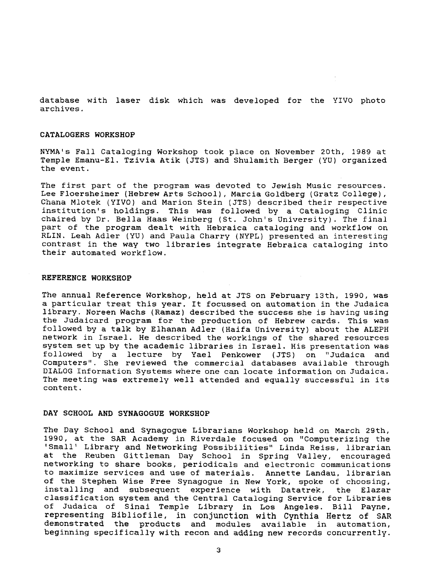database with laser disk which was developed for the YIVO photo archives.

#### **CATALOGERS WORKSHOP**

NYMA's Fall Cataloging Workshop took place on November 20th, 1989 at Temple Emanu-El. Tzivia Atik (JTS) and Shulamith Berger (YU) organized the event.

The first part of the program was devoted to Jewish Music resources. Lee Floersheimer (Hebrew Arts School), Marcia Goldberg (Gratz College), Chana Mlotek (YIVO) and Marion Stein (JTS) described their respective institution's holdings. This was followed by a Cataloging Clinic chaired by Dr. Bella Haas Weinberg (St. John's University). The final part of the program dealt with Hebraica cataloging and workflow on RLIN. Leah Adler **(YV)** and Paula Charry (NYPL) presented an interesting contrast in the way two libraries integrate Hebraica cataloging into their automated workflow.

#### **REFERENCE WORKSHOP**

The annual Reference Workshop, held at JTS on February 13th, 1990, was a particular treat this year. It focussed on automation in the Judaica library. Noreen Wachs (Ramaz) described the success she is having using the Judaicard program for the production of Hebrew cards. This was followed by a talk by Elhanan Adler (Haifa University) about the ALEPH network in Israel. He described the workings of the shared resources system set up by the academic libraries in Israel. His presentation was followed by a lecture by Yael Penkower (JTS) on "Judaica and Computers". She reviewed the commercial databases available through DIALOG Information Systems where one can locate information on Judaica. The meeting was extremely well attended and equally successful in its content.

### **DAY SCHOOL AND SYNAGOGUE WORKSHOP**

The Day School and Synagogue Librarians Workshop held on March 29th, 1990, at the SAR Academy in Riverdale focused on "Computerizing the 'Small' Library and Networking Possibilities" Linda Reiss, librarian at the Reuben Gittleman Day School in Spring Valley, encouraged networking to share books, periodicals and electronic communications to maximize services and use of materials. Annette Landau, librarian of the Stephen Wise Free Synagogue in New York, spoke of choosing, installing and subsequent experience with Datatrek, the Elazar classification system and the Central Cataloging Service for Libraries of Judaica of Sinai Temple Library in Los Angeles. Bill Payne, representing Bibliofile, in conjunction **with Cynthia** Hertz of SAR demonstrated the products and modules available in automation, beginning specifically with recon and adding new records concurrently.